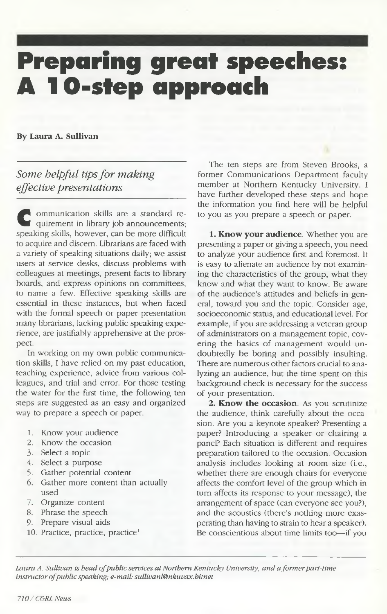# **Preparing great speeches: A 10-step approach**

### **By Laura A. Sullivan**

### *Some helpful tips for making effective presentations*

**C** ommunication skills are a standard requirement in library job announcements;<br>speaking skills, however, can be more difficult ommunication skills are a standard requirement in library job announcements; to acquire and discern. Librarians are faced with a variety of speaking situations daily; we assist users at service desks, discuss problems with colleagues at meetings, present facts to library boards, and express opinions on committees, to name a few. Effective speaking skills are essential in these instances, but when faced with the formal speech or paper presentation many librarians, lacking public speaking experience, are justifiably apprehensive at the prospect.

In working on my own public communication skills, I have relied on my past education, teaching experience, advice from various colleagues, and trial and error. For those testing the water for the first time, the following ten steps are suggested as an easy and organized way to prepare a speech or paper.

- 1. Know your audience
- 2. Know the occasion
- 3. Select a topic
- 4. Select a purpose
- 5. Gather potential content
- 6. Gather more content than actually used
- 7. Organize content
- 8. Phrase the speech
- 9. Prepare visual aids
- 10. Practice, practice, practice<sup>1</sup>

The ten steps are from Steven Brooks, a former Communications Department faculty member at Northern Kentucky University. I have further developed these steps and hope the information you find here will be helpful to you as you prepare a speech or paper.

**1. Know your audience.** Whether you are presenting a paper or giving a speech, you need to analyze your audience first and foremost. It is easy to alienate an audience by not examining the characteristics of the group, what they know and what they want to know. Be aware of the audience's attitudes and beliefs in general, toward you and the topic. Consider age, socioeconomic status, and educational level. For example, if you are addressing a veteran group of administrators on a management topic, covering the basics of management would undoubtedly be boring and possibly insulting. There are numerous other factors crucial to analyzing an audience, but the time spent on this background check is necessary for the success of your presentation.

**2. Know the occasion.** As you scrutinize the audience, think carefully about the occasion. Are you a keynote speaker? Presenting a paper? Introducing a speaker or chairing a panel? Each situation is different and requires preparation tailored to the occasion. Occasion analysis includes looking at room size (i.e., whether there are enough chairs for everyone affects the comfort level of the group which in turn affects its response to your message), the arrangement of space (can everyone see you?), and the acoustics (there's nothing more exasperating than having to strain to hear a speaker). Be conscientious about time limits too— if you

*Laura A. Sullivan is head of public services at Northern Kentucky University, and a former part-time instructor of public speaking; e-mail: sullivanl@nkuvax.bitnet*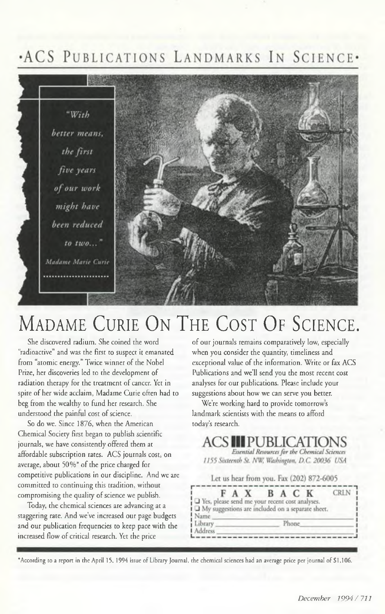## .ACS PUBLICATIONS LANDMARKS IN SCIENCE.



## MADAME CURIE ON THE COST OF SCIENCE.

She discovered radium. She coined the word "radioactive" and was the first to suspect it emanated from "atomic energy." Twice winner of the Nobel Prize, her discoveries led to the development of radiation therapy for the treatment of cancer. Yet in spite of her wide acclaim, Madame Curie often had to beg from the wealthy to fund her research. She understood the painful cost of science.

So do we. Since 1876, when the American Chemical Society first began to publish scientific journals, we have consistently offered them at affordable subscription rates. ACS journals cost, on average, about  $50\%$ <sup>\*</sup> of the price charged for competitive publications in our discipline. And we are committed to continuing this tradition, without compromising the quality of science we publish.

Today, the chemical sciences are advancing at a staggering rate. And we've increased our page budgets and our publication frequencies to keep pace with the increased flow of critical research. Yet the price

of our journals remains comparatively low, especially when you consider the quantity, timeliness and exceptional value of the information. Write or fax ACS Publications and we'll send you the most recent cost analyses for our publications. Please include your suggestions about how we can serve you better.

We're working hard to provide tomorrow's landmark scientists with the means to afford today's research.

### **ACS III PUBLICATIONS**

Essential Resources for the Chemical Sciences 1155 Sixteenth St. NW, Washington, D.C. 20036 USA

Let us hear from you. Fax (202) 872-6005

|                                                      | B A C |       |  |
|------------------------------------------------------|-------|-------|--|
| U Yes, please send me your recent cost analyses.     |       |       |  |
|                                                      |       |       |  |
| i □ My suggestions are included on a separate sheet. |       |       |  |
|                                                      |       |       |  |
| Name                                                 |       |       |  |
|                                                      |       | Phone |  |
| Library<br>Address                                   |       |       |  |

\* According to a report in the April 15, 1994 issue of Library Journal, t he chemical sciences had an average price per journal of \$1,106.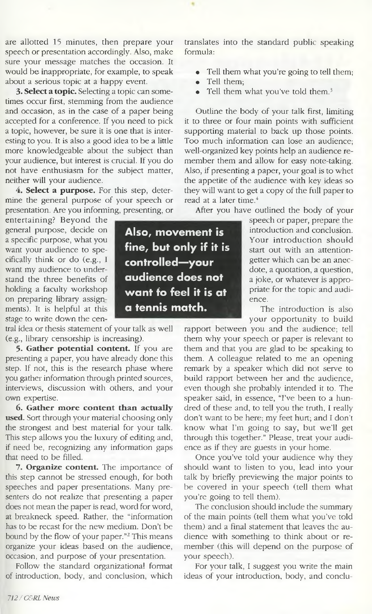are allotted 15 minutes, then prepare your speech or presentation accordingly. Also, make sure your message matches the occasion. It would be inappropriate, for example, to speak about a serious topic at a happy event.

**3. Select a topic.** Selecting a topic can sometimes occur first, stemming from the audience and occasion, as in the case of a paper being accepted for a conference. If you need to pick a topic, however, be sure it is one that is interesting to you. It is also a good idea to be a little more knowledgeable about the subject than your audience, but interest is crucial. If you do not have enthusiasm for the subject matter, neither will your audience.

4. **Select a purpose.** For this step, determine the general purpose of your speech or presentation. Are you informing, presenting, or

entertaining? Beyond the general purpose, decide on a specific purpose, what you want your audience to specifically think or do (e.g., I want my audience to understand the three benefits of holding a faculty workshop on preparing library assignments). It is helpful at this stage to write down the cen-

tral idea or thesis statement of your talk as well (e.g., library censorship is increasing).

**5. Gather potential content.** If you are presenting a paper, you have already done this step. If not, this is the research phase where you gather information through printed sources, interviews, discussion with others, and your own expertise.

**6. Gather more content than actually used.** Sort through your material choosing only the strongest and best material for your talk. This step allows you the luxury of editing and, if need be, recognizing any information gaps that need to be filled.

**7. Organize content.** The importance of this step cannot be stressed enough, for both speeches and paper presentations. Many presenters do not realize that presenting a paper does not mean the paper is read, word for word, at breakneck speed. Rather, the "information has to be recast for the new medium. Don't be bound by the flow of your paper."2 This means organize your ideas based on the audience, occasion, and purpose of your presentation.

Follow the standard organizational format of introduction, body, and conclusion, which translates into the standard public speaking formula:

- Tell them what you're going to tell them;
- Tell them:
- Tell them what you've told them.<sup>3</sup>

Outline the body of your talk first, limiting it to three or four main points with sufficient supporting material to back up those points. Too much information can lose an audience; well-organized key points help an audience remember them and allow for easy note-taking. Also, if presenting a paper, your goal is to whet the appetite of the audience with key ideas so they will want to get a copy of the full paper to read at a later time.<sup>4</sup>

After you have outlined the body of your

speech or paper, prepare the **ment is** introduction and conclusion. Your introduction should start out with an attentiongetter which can be an anecdote, a quotation, a question, **es not** a joke, or whatever is appropriate for the topic and audience.

The introduction is also your opportunity to build

rapport between you and the audience; tell them why your speech or paper is relevant to hem and that you are glad to be speaking to t hem. A colleague related to me an opening t remark by a speaker which did not serve to build rapport between her and the audience, even though she probably intended it to. The speaker said, in essence, "I've been to a hundred of these and, to tell you the truth, I really don't want to be here; my feet hurt; and I don't know what I'm going to say, but we'll get hrough this together." Please, treat your audi-t ence as if they are guests in your home.

Once you've told your audience why they should want to listen to you, lead into your talk by briefly previewing the major points to be covered in your speech (tell them what you're going to tell them).

The conclusion should include the summary of the main points (tell them what you've told hem) and a final statement that leaves the au-t dience with something to think about or remember (this will depend on the purpose of your speech).

For your talk, I suggest you write the main ideas of your introduction, body, and conclu-

**Also, movement is** fine, but only if it is controlled-your audience does not want fo feel it is at **a** tennis match.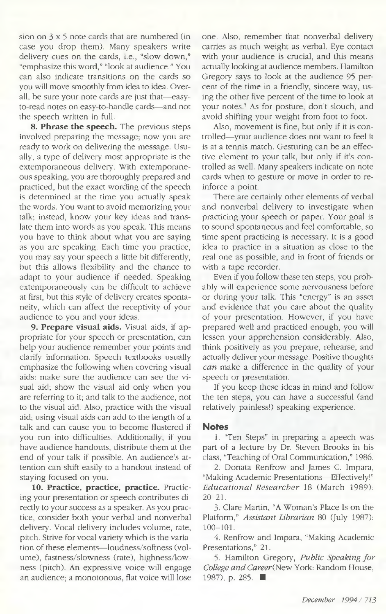sion on  $3 \times 5$  note cards that are numbered (in case you drop them). Many speakers write delivery cues on the cards, i.e., "slow down," "emphasize this word," "look at audience." You can also indicate transitions on the cards so you will move smoothly from idea to idea. Overall, be sure your note cards are just that—easyto-read notes on easy-to-handle cards— and not the speech written in full.

**8. Phrase the speech.** The previous steps involved preparing the message; now you are ready to work on delivering the message. Usually, a type of delivery most appropriate is the extemporaneous delivery. With extemporaneous speaking, you are thoroughly prepared and practiced, but the exact wording of the speech is determined at the time you actually speak the words. You want to avoid memorizing your talk; instead, know your key ideas and translate them into words as you speak. This means you have to think about what you are saying as you are speaking. Each time you practice, you may say your speech a little bit differently, but this allows flexibility and the chance to adapt to your audience if needed. Speaking extemporaneously can be difficult to achieve at first, but this style of delivery creates spontaneity, which can affect the receptivity of your audience to you and your ideas.

**9. Prepare visual aids.** Visual aids, if appropriate for your speech or presentation, can help your audience remember your points and clarify information. Speech textbooks usually emphasize the following when covering visual aids: make sure the audience can see the visual aid; show the visual aid only when you are referring to it; and talk to the audience, not to the visual aid. Also, practice with the visual aid; using visual aids can add to the length of a talk and can cause you to become flustered if you run into difficulties. Additionally, if you have audience handouts, distribute them at the end of your talk if possible. An audience's attention can shift easily to a handout instead of staying focused on you.

**10. Practice, practice, practice.** Practicing your presentation or speech contributes directly to your success as a speaker. As you practice, consider both your verbal and nonverbal delivery. Vocal delivery includes volume, rate, pitch. Strive for vocal variety which is the variation of these elements— loudness/softness (volume), fastness/slowness (rate), highness/lowness (pitch). An expressive voice will engage an audience; a monotonous, flat voice will lose one. Also, remember that nonverbal delivery carries as much weight as verbal. Eye contact with your audience is crucial, and this means actually looking at audience members. Hamilton Gregory says to look at the audience 95 percent of the time in a friendly, sincere way, using the other five percent of the time to look at your notes.<sup>5</sup> As for posture, don't slouch, and avoid shifting your weight from foot to foot.

Also, movement is fine, but only if it is controlled—your audience does not want to feel it is at a tennis match. Gesturing can be an effective element to your talk, but only if it's controlled as well. Many speakers indicate on note cards when to gesture or move in order to reinforce a point.

There are certainly other elements of verbal and nonverbal delivery to investigate when practicing your speech or paper. Your goal is to sound spontaneous and feel comfortable, so time spent practicing is necessary. It is a good idea to practice in a situation as close to the real one as possible, and in front of friends or with a tape recorder.

Even if you follow these ten steps, you probably will experience some nervousness before or during your talk. This "energy" is an asset and evidence that you care about the quality of your presentation. However, if you have prepared well and practiced enough, you will lessen your apprehension considerably. Also, think positively as you prepare, rehearse, and actually deliver your message. Positive thoughts *can* make a difference in the quality of your speech or presentation.

If you keep these ideas in mind and follow the ten steps, you can have a successful (and relatively painless!) speaking experience.

#### **Notes**

1. "Ten Steps" in preparing a speech was part of a lecture by Dr. Steven Brooks in his class, "Teaching of Oral Communication," 1986.

2. Donata Renfrow and James C. Impara, "Making Academic Presentations— Effectively!" *Educational Researcher* 18 (March 1989):  $20 - 21$ .

3. Clare Martin, "A Woman's Place Is on the Platform," *Assistant Librarian* 80 (July 1987):  $100 - 101$ .

4. Renfrow and Impara, "Making Academic Presentations," 21.

5. Hamilton Gregory, Public Speaking for College and Career (New York: Random House, 1987), p. 285. ■